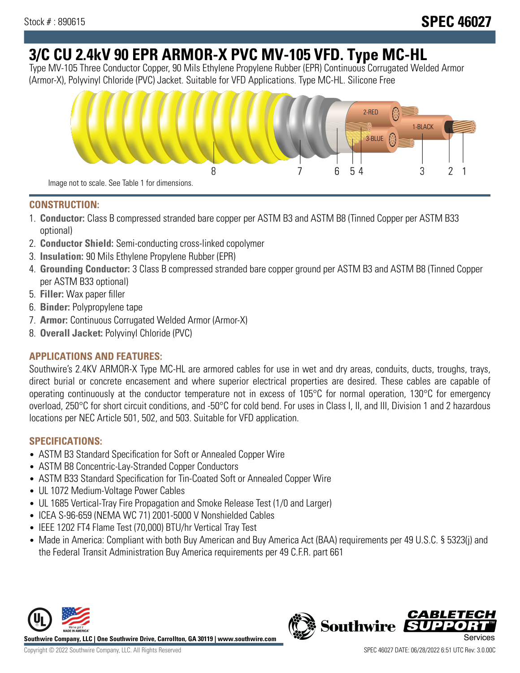# **3/C CU 2.4kV 90 EPR ARMOR-X PVC MV-105 VFD. Type MC-HL**

Type MV-105 Three Conductor Copper, 90 Mils Ethylene Propylene Rubber (EPR) Continuous Corrugated Welded Armor (Armor-X), Polyvinyl Chloride (PVC) Jacket. Suitable for VFD Applications. Type MC-HL. Silicone Free



## **CONSTRUCTION:**

- 1. **Conductor:** Class B compressed stranded bare copper per ASTM B3 and ASTM B8 (Tinned Copper per ASTM B33 optional)
- 2. **Conductor Shield:** Semi-conducting cross-linked copolymer
- 3. **Insulation:** 90 Mils Ethylene Propylene Rubber (EPR)
- 4. **Grounding Conductor:** 3 Class B compressed stranded bare copper ground per ASTM B3 and ASTM B8 (Tinned Copper per ASTM B33 optional)
- 5. **Filler:** Wax paper filler
- 6. **Binder:** Polypropylene tape
- 7. **Armor:** Continuous Corrugated Welded Armor (Armor-X)
- 8. **Overall Jacket:** Polyvinyl Chloride (PVC)

# **APPLICATIONS AND FEATURES:**

Southwire's 2.4KV ARMOR-X Type MC-HL are armored cables for use in wet and dry areas, conduits, ducts, troughs, trays, direct burial or concrete encasement and where superior electrical properties are desired. These cables are capable of operating continuously at the conductor temperature not in excess of 105°C for normal operation, 130°C for emergency overload, 250°C for short circuit conditions, and -50°C for cold bend. For uses in Class I, II, and III, Division 1 and 2 hazardous locations per NEC Article 501, 502, and 503. Suitable for VFD application.

# **SPECIFICATIONS:**

- ASTM B3 Standard Specification for Soft or Annealed Copper Wire
- ASTM B8 Concentric-Lay-Stranded Copper Conductors
- ASTM B33 Standard Specification for Tin-Coated Soft or Annealed Copper Wire
- UL 1072 Medium-Voltage Power Cables
- UL 1685 Vertical-Tray Fire Propagation and Smoke Release Test (1/0 and Larger)
- ICEA S-96-659 (NEMA WC 71) 2001-5000 V Nonshielded Cables
- IEEE 1202 FT4 Flame Test (70,000) BTU/hr Vertical Tray Test
- Made in America: Compliant with both Buy American and Buy America Act (BAA) requirements per 49 U.S.C. § 5323(j) and the Federal Transit Administration Buy America requirements per 49 C.F.R. part 661